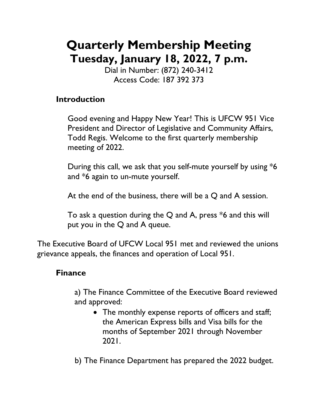# **Quarterly Membership Meeting Tuesday, January 18, 2022, 7 p.m.**

Dial in Number: (872) 240-3412 Access Code: 187 392 373

#### **Introduction**

Good evening and Happy New Year! This is UFCW 951 Vice President and Director of Legislative and Community Affairs, Todd Regis. Welcome to the first quarterly membership meeting of 2022.

During this call, we ask that you self-mute yourself by using \*6 and \*6 again to un-mute yourself.

At the end of the business, there will be a Q and A session.

To ask a question during the Q and A, press  $*6$  and this will put you in the Q and A queue.

The Executive Board of UFCW Local 951 met and reviewed the unions grievance appeals, the finances and operation of Local 951.

### **Finance**

a) The Finance Committee of the Executive Board reviewed and approved:

- The monthly expense reports of officers and staff; the American Express bills and Visa bills for the months of September 2021 through November 2021.
- b) The Finance Department has prepared the 2022 budget.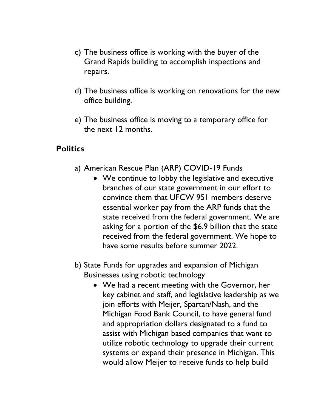- c) The business office is working with the buyer of the Grand Rapids building to accomplish inspections and repairs.
- d) The business office is working on renovations for the new office building.
- e) The business office is moving to a temporary office for the next 12 months.

#### **Politics**

- a) American Rescue Plan (ARP) COVID-19 Funds
	- We continue to lobby the legislative and executive branches of our state government in our effort to convince them that UFCW 951 members deserve essential worker pay from the ARP funds that the state received from the federal government. We are asking for a portion of the \$6.9 billion that the state received from the federal government. We hope to have some results before summer 2022.
- b) State Funds for upgrades and expansion of Michigan Businesses using robotic technology
	- We had a recent meeting with the Governor, her key cabinet and staff, and legislative leadership as we join efforts with Meijer, Spartan/Nash, and the Michigan Food Bank Council, to have general fund and appropriation dollars designated to a fund to assist with Michigan based companies that want to utilize robotic technology to upgrade their current systems or expand their presence in Michigan. This would allow Meijer to receive funds to help build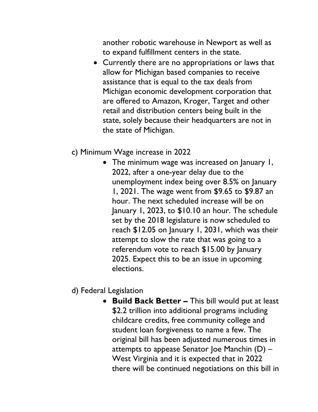another robotic warehouse in Newport as well as to expand fulfillment centers in the state.

• Currently there are no appropriations or laws that allow for Michigan based companies to receive assistance that is equal to the tax deals from Michigan economic development corporation that are offered to Amazon, Kroger, Target and other retail and distribution centers being built in the state, solely because their headquarters are not in the state of Michigan.

#### • c) Minimum Wage increase in 2022

• The minimum wage was increased on January 1, 2022, after a one-year delay due to the unemployment index being over 8.5% on January 1, 2021. The wage went from \$9.65 to \$9.87 an hour. The next scheduled increase will be on January 1, 2023, to \$10.10 an hour. The schedule set by the 2018 legislature is now scheduled to reach \$12.05 on January 1, 2031, which was their attempt to slow the rate that was going to a referendum vote to reach \$15.00 by January 2025. Expect this to be an issue in upcoming elections.

## • d) Federal Legislation

• **Build Back Better –** This bill would put at least \$2.2 trillion into additional programs including childcare credits, free community college and student loan forgiveness to name a few. The original bill has been adjusted numerous times in attempts to appease Senator Joe Manchin (D) – West Virginia and it is expected that in 2022 there will be continued negotiations on this bill in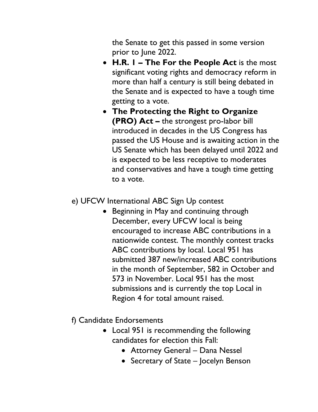the Senate to get this passed in some version prior to June 2022.

- **H.R. 1 – The For the People Act** is the most significant voting rights and democracy reform in more than half a century is still being debated in the Senate and is expected to have a tough time getting to a vote.
- **The Protecting the Right to Organize (PRO) Act –** the strongest pro-labor bill introduced in decades in the US Congress has passed the US House and is awaiting action in the US Senate which has been delayed until 2022 and is expected to be less receptive to moderates and conservatives and have a tough time getting to a vote.
- e) UFCW International ABC Sign Up contest
	- Beginning in May and continuing through December, every UFCW local is being encouraged to increase ABC contributions in a nationwide contest. The monthly contest tracks ABC contributions by local. Local 951 has submitted 387 new/increased ABC contributions in the month of September, 582 in October and 573 in November. Local 951 has the most submissions and is currently the top Local in Region 4 for total amount raised.
- f) Candidate Endorsements
	- Local 951 is recommending the following candidates for election this Fall:
		- Attorney General Dana Nessel
		- Secretary of State Jocelyn Benson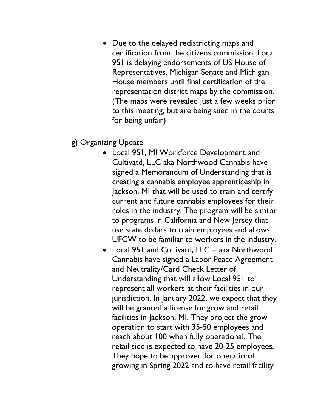- Due to the delayed redistricting maps and certification from the citizens commission, Local 951 is delaying endorsements of US House of Representatives, Michigan Senate and Michigan House members until final certification of the representation district maps by the commission. (The maps were revealed just a few weeks prior to this meeting, but are being sued in the courts for being unfair)
- g) Organizing Update
	- Local 951, MI Workforce Development and Cultivatd, LLC aka Northwood Cannabis have signed a Memorandum of Understanding that is creating a cannabis employee apprenticeship in Jackson, MI that will be used to train and certify current and future cannabis employees for their roles in the industry. The program will be similar to programs in California and New Jersey that use state dollars to train employees and allows UFCW to be familiar to workers in the industry.
	- Local 951 and Cultivatd, LLC aka Northwood Cannabis have signed a Labor Peace Agreement and Neutrality/Card Check Letter of Understanding that will allow Local 951 to represent all workers at their facilities in our jurisdiction. In January 2022, we expect that they will be granted a license for grow and retail facilities in Jackson, MI. They project the grow operation to start with 35-50 employees and reach about 100 when fully operational. The retail side is expected to have 20-25 employees. They hope to be approved for operational growing in Spring 2022 and to have retail facility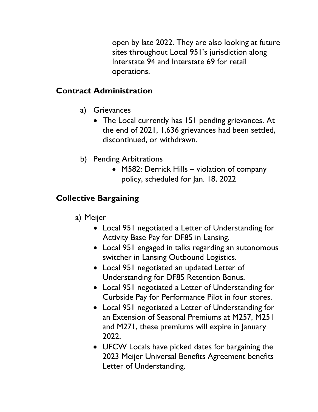open by late 2022. They are also looking at future sites throughout Local 951's jurisdiction along Interstate 94 and Interstate 69 for retail operations.

### **Contract Administration**

- a) Grievances
	- The Local currently has 151 pending grievances. At the end of 2021, 1,636 grievances had been settled, discontinued, or withdrawn.
- b) Pending Arbitrations
	- M582: Derrick Hills violation of company policy, scheduled for Jan. 18, 2022

# **Collective Bargaining**

- a) Meijer
	- Local 951 negotiated a Letter of Understanding for Activity Base Pay for DF85 in Lansing.
	- Local 951 engaged in talks regarding an autonomous switcher in Lansing Outbound Logistics.
	- Local 951 negotiated an updated Letter of Understanding for DF85 Retention Bonus.
	- Local 951 negotiated a Letter of Understanding for Curbside Pay for Performance Pilot in four stores.
	- Local 951 negotiated a Letter of Understanding for an Extension of Seasonal Premiums at M257, M251 and M271, these premiums will expire in January 2022.
	- UFCW Locals have picked dates for bargaining the 2023 Meijer Universal Benefits Agreement benefits Letter of Understanding.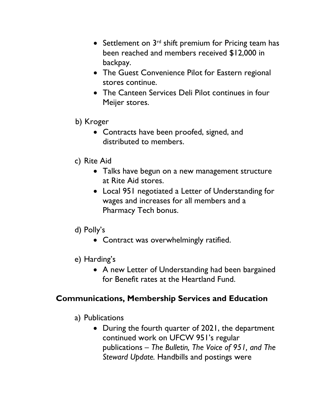- Settlement on  $3<sup>rd</sup>$  shift premium for Pricing team has been reached and members received \$12,000 in backpay.
- The Guest Convenience Pilot for Eastern regional stores continue.
- The Canteen Services Deli Pilot continues in four Meijer stores.
- b) Kroger
	- Contracts have been proofed, signed, and distributed to members.
- c) Rite Aid
	- Talks have begun on a new management structure at Rite Aid stores.
	- Local 951 negotiated a Letter of Understanding for wages and increases for all members and a Pharmacy Tech bonus.
- d) Polly's
	- Contract was overwhelmingly ratified.
- e) Harding's
	- A new Letter of Understanding had been bargained for Benefit rates at the Heartland Fund.

## **Communications, Membership Services and Education**

- a) Publications
	- During the fourth quarter of 2021, the department continued work on UFCW 951's regular publications – *The Bulletin, The Voice of 951, and The Steward Update.* Handbills and postings were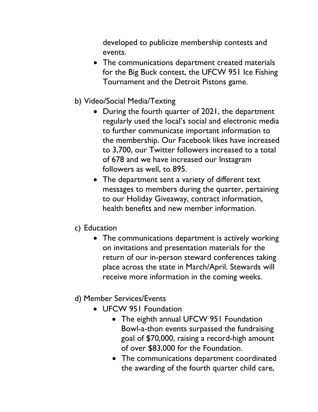developed to publicize membership contests and events.

- The communications department created materials for the Big Buck contest, the UFCW 951 Ice Fishing Tournament and the Detroit Pistons game.
- b) Video/Social Media/Texting
	- During the fourth quarter of 2021, the department regularly used the local's social and electronic media to further communicate important information to the membership. Our Facebook likes have increased to 3,700, our Twitter followers increased to a total of 678 and we have increased our Instagram followers as well, to 895.
	- The department sent a variety of different text messages to members during the quarter, pertaining to our Holiday Giveaway, contract information, health benefits and new member information.
- c) Education
	- The communications department is actively working on invitations and presentation materials for the return of our in-person steward conferences taking place across the state in March/April. Stewards will receive more information in the coming weeks.
- d) Member Services/Events
	- UFCW 951 Foundation
		- The eighth annual UFCW 951 Foundation Bowl-a-thon events surpassed the fundraising goal of \$70,000, raising a record-high amount of over \$83,000 for the Foundation.
		- The communications department coordinated the awarding of the fourth quarter child care,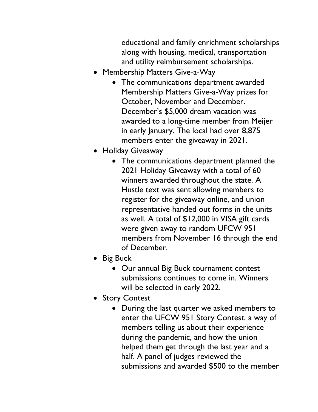educational and family enrichment scholarships along with housing, medical, transportation and utility reimbursement scholarships.

- Membership Matters Give-a-Way
	- The communications department awarded Membership Matters Give-a-Way prizes for October, November and December. December's \$5,000 dream vacation was awarded to a long-time member from Meijer in early January. The local had over 8,875 members enter the giveaway in 2021.
- Holiday Giveaway
	- The communications department planned the 2021 Holiday Giveaway with a total of 60 winners awarded throughout the state. A Hustle text was sent allowing members to register for the giveaway online, and union representative handed out forms in the units as well. A total of \$12,000 in VISA gift cards were given away to random UFCW 951 members from November 16 through the end of December.
- Big Buck
	- Our annual Big Buck tournament contest submissions continues to come in. Winners will be selected in early 2022.
- Story Contest
	- During the last quarter we asked members to enter the UFCW 951 Story Contest, a way of members telling us about their experience during the pandemic, and how the union helped them get through the last year and a half. A panel of judges reviewed the submissions and awarded \$500 to the member